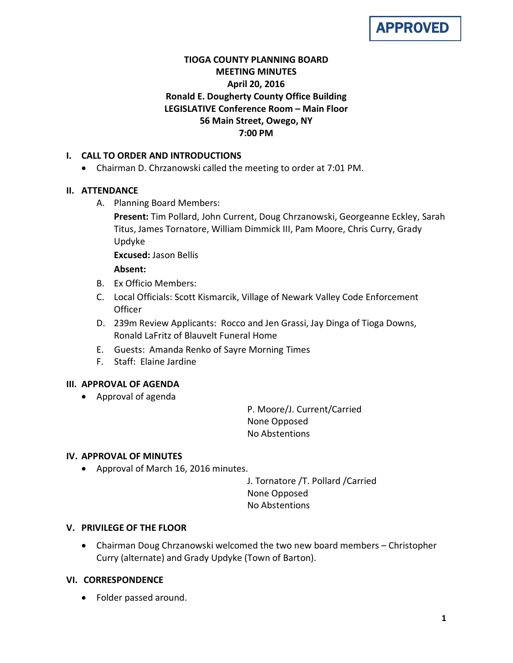

# **TIOGA COUNTY PLANNING BOARD MEETING MINUTES April 20, 2016 Ronald E. Dougherty County Office Building LEGISLATIVE Conference Room – Main Floor 56 Main Street, Owego, NY 7:00 PM**

# **I. CALL TO ORDER AND INTRODUCTIONS**

• Chairman D. Chrzanowski called the meeting to order at 7:01 PM.

### **II. ATTENDANCE**

A. Planning Board Members:

**Present:** Tim Pollard, John Current, Doug Chrzanowski, Georgeanne Eckley, Sarah Titus, James Tornatore, William Dimmick III, Pam Moore, Chris Curry, Grady Updyke

**Excused:** Jason Bellis

### **Absent:**

- B. Ex Officio Members:
- C. Local Officials: Scott Kismarcik, Village of Newark Valley Code Enforcement Officer
- D. 239m Review Applicants: Rocco and Jen Grassi, Jay Dinga of Tioga Downs, Ronald LaFritz of Blauvelt Funeral Home
- E. Guests: Amanda Renko of Sayre Morning Times
- F. Staff: Elaine Jardine

### **III. APPROVAL OF AGENDA**

• Approval of agenda

P. Moore/J. Current/Carried None Opposed No Abstentions

### **IV. APPROVAL OF MINUTES**

• Approval of March 16, 2016 minutes.

J. Tornatore /T. Pollard /Carried None Opposed No Abstentions

### **V. PRIVILEGE OF THE FLOOR**

• Chairman Doug Chrzanowski welcomed the two new board members – Christopher Curry (alternate) and Grady Updyke (Town of Barton).

### **VI. CORRESPONDENCE**

• Folder passed around.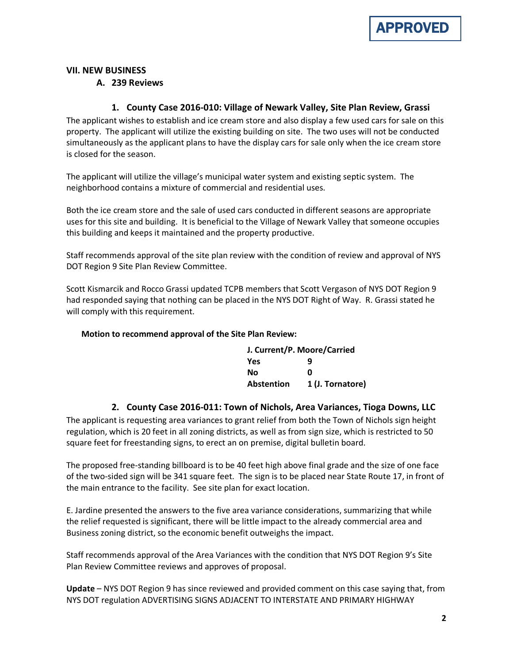#### **VII. NEW BUSINESS**

#### **A. 239 Reviews**

### **1. County Case 2016-010: Village of Newark Valley, Site Plan Review, Grassi**

The applicant wishes to establish and ice cream store and also display a few used cars for sale on this property. The applicant will utilize the existing building on site. The two uses will not be conducted simultaneously as the applicant plans to have the display cars for sale only when the ice cream store is closed for the season.

The applicant will utilize the village's municipal water system and existing septic system. The neighborhood contains a mixture of commercial and residential uses.

Both the ice cream store and the sale of used cars conducted in different seasons are appropriate uses for this site and building. It is beneficial to the Village of Newark Valley that someone occupies this building and keeps it maintained and the property productive.

Staff recommends approval of the site plan review with the condition of review and approval of NYS DOT Region 9 Site Plan Review Committee.

Scott Kismarcik and Rocco Grassi updated TCPB members that Scott Vergason of NYS DOT Region 9 had responded saying that nothing can be placed in the NYS DOT Right of Way. R. Grassi stated he will comply with this requirement.

#### **Motion to recommend approval of the Site Plan Review:**

| J. Current/P. Moore/Carried |                  |
|-----------------------------|------------------|
| Yes                         | q                |
| Nο                          | n                |
| <b>Abstention</b>           | 1 (J. Tornatore) |

#### **2. County Case 2016-011: Town of Nichols, Area Variances, Tioga Downs, LLC**

The applicant is requesting area variances to grant relief from both the Town of Nichols sign height regulation, which is 20 feet in all zoning districts, as well as from sign size, which is restricted to 50 square feet for freestanding signs, to erect an on premise, digital bulletin board.

The proposed free-standing billboard is to be 40 feet high above final grade and the size of one face of the two-sided sign will be 341 square feet. The sign is to be placed near State Route 17, in front of the main entrance to the facility. See site plan for exact location.

E. Jardine presented the answers to the five area variance considerations, summarizing that while the relief requested is significant, there will be little impact to the already commercial area and Business zoning district, so the economic benefit outweighs the impact.

Staff recommends approval of the Area Variances with the condition that NYS DOT Region 9's Site Plan Review Committee reviews and approves of proposal.

**Update** – NYS DOT Region 9 has since reviewed and provided comment on this case saying that, from NYS DOT regulation ADVERTISING SIGNS ADJACENT TO INTERSTATE AND PRIMARY HIGHWAY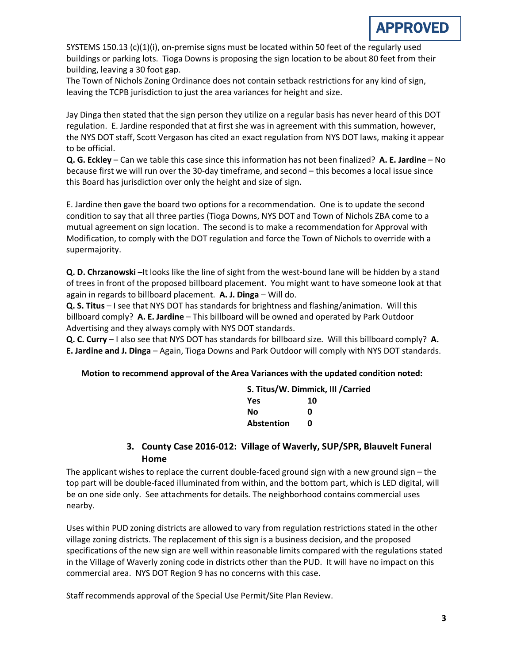SYSTEMS 150.13 (c)(1)(i), on-premise signs must be located within 50 feet of the regularly used buildings or parking lots. Tioga Downs is proposing the sign location to be about 80 feet from their building, leaving a 30 foot gap.

The Town of Nichols Zoning Ordinance does not contain setback restrictions for any kind of sign, leaving the TCPB jurisdiction to just the area variances for height and size.

Jay Dinga then stated that the sign person they utilize on a regular basis has never heard of this DOT regulation. E. Jardine responded that at first she was in agreement with this summation, however, the NYS DOT staff, Scott Vergason has cited an exact regulation from NYS DOT laws, making it appear to be official.

**Q. G. Eckley** – Can we table this case since this information has not been finalized? **A. E. Jardine** – No because first we will run over the 30-day timeframe, and second – this becomes a local issue since this Board has jurisdiction over only the height and size of sign.

E. Jardine then gave the board two options for a recommendation. One is to update the second condition to say that all three parties (Tioga Downs, NYS DOT and Town of Nichols ZBA come to a mutual agreement on sign location. The second is to make a recommendation for Approval with Modification, to comply with the DOT regulation and force the Town of Nichols to override with a supermajority.

**Q. D. Chrzanowski** –It looks like the line of sight from the west-bound lane will be hidden by a stand of trees in front of the proposed billboard placement. You might want to have someone look at that again in regards to billboard placement. **A. J. Dinga** – Will do.

**Q. S. Titus** – I see that NYS DOT has standards for brightness and flashing/animation. Will this billboard comply? **A. E. Jardine** – This billboard will be owned and operated by Park Outdoor Advertising and they always comply with NYS DOT standards.

**Q. C. Curry** – I also see that NYS DOT has standards for billboard size. Will this billboard comply? **A. E. Jardine and J. Dinga** – Again, Tioga Downs and Park Outdoor will comply with NYS DOT standards.

### **Motion to recommend approval of the Area Variances with the updated condition noted:**

| S. Titus/W. Dimmick, III / Carried |    |  |
|------------------------------------|----|--|
| <b>Yes</b>                         | 10 |  |
| No                                 | n  |  |
| <b>Abstention</b>                  | n  |  |

# **3. County Case 2016-012: Village of Waverly, SUP/SPR, Blauvelt Funeral Home**

The applicant wishes to replace the current double-faced ground sign with a new ground sign – the top part will be double-faced illuminated from within, and the bottom part, which is LED digital, will be on one side only. See attachments for details. The neighborhood contains commercial uses nearby.

Uses within PUD zoning districts are allowed to vary from regulation restrictions stated in the other village zoning districts. The replacement of this sign is a business decision, and the proposed specifications of the new sign are well within reasonable limits compared with the regulations stated in the Village of Waverly zoning code in districts other than the PUD. It will have no impact on this commercial area. NYS DOT Region 9 has no concerns with this case.

Staff recommends approval of the Special Use Permit/Site Plan Review.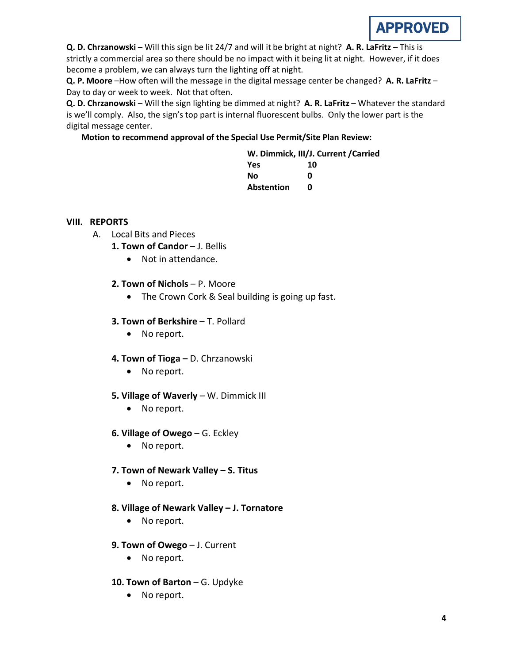

**Q. D. Chrzanowski** – Will this sign be lit 24/7 and will it be bright at night? **A. R. LaFritz** – This is strictly a commercial area so there should be no impact with it being lit at night. However, if it does become a problem, we can always turn the lighting off at night.

**Q. P. Moore** –How often will the message in the digital message center be changed? **A. R. LaFritz** – Day to day or week to week. Not that often.

**Q. D. Chrzanowski** – Will the sign lighting be dimmed at night? **A. R. LaFritz** – Whatever the standard is we'll comply. Also, the sign's top part is internal fluorescent bulbs. Only the lower part is the digital message center.

### **Motion to recommend approval of the Special Use Permit/Site Plan Review:**

| W. Dimmick, III/J. Current / Carried |    |  |
|--------------------------------------|----|--|
| <b>Yes</b>                           | 10 |  |
| Nο                                   | n  |  |
| <b>Abstention</b>                    | n  |  |

#### **VIII. REPORTS**

- A. Local Bits and Pieces
	- **1. Town of Candor J. Bellis** 
		- Not in attendance.
	- **2. Town of Nichols**  P. Moore
		- The Crown Cork & Seal building is going up fast.
	- **3. Town of Berkshire T. Pollard** 
		- No report.
	- **4. Town of Tioga –** D. Chrzanowski
		- No report.
	- **5. Village of Waverly** W. Dimmick III
		- No report.
	- **6. Village of Owego** G. Eckley
		- No report.
	- **7. Town of Newark Valley S. Titus**
		- No report.
	- **8. Village of Newark Valley – J. Tornatore**
		- No report.
	- **9. Town of Owego** J. Current
		- No report.
	- **10. Town of Barton** G. Updyke
		- No report.